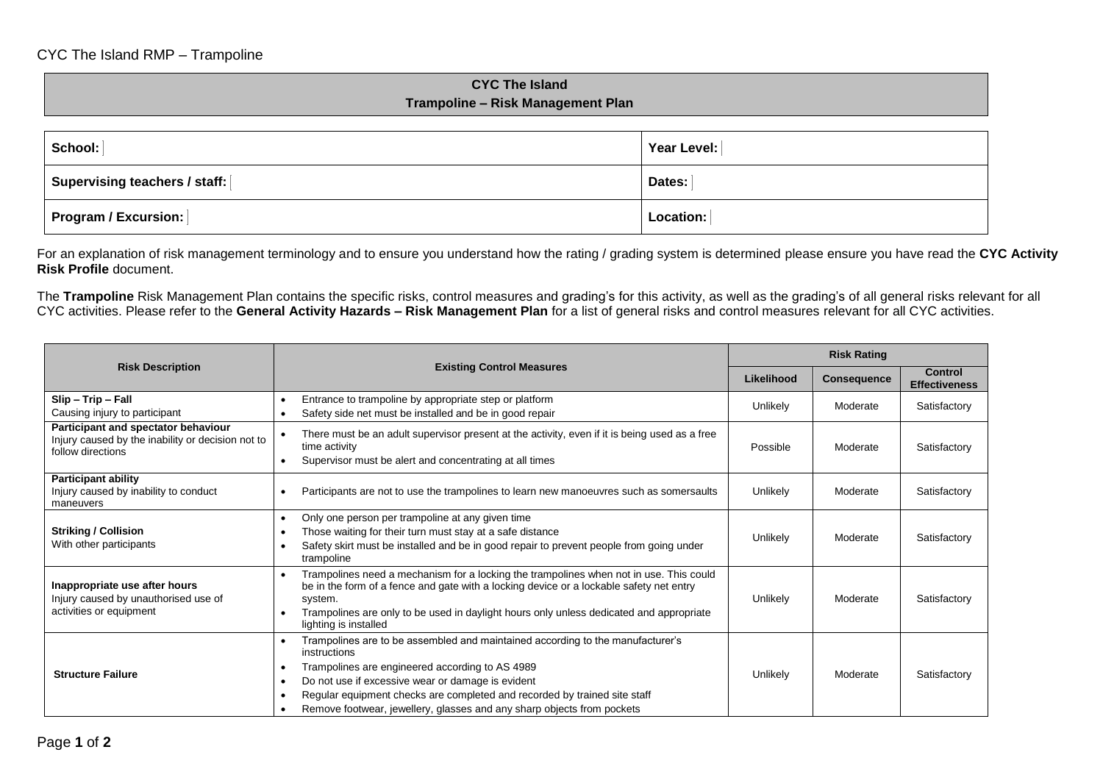## **CYC The Island Trampoline – Risk Management Plan**

| School:                       | Year Level: |  |
|-------------------------------|-------------|--|
| Supervising teachers / staff: | Dates:      |  |
| <b>Program / Excursion:</b>   | Location:   |  |

For an explanation of risk management terminology and to ensure you understand how the rating / grading system is determined please ensure you have read the **CYC Activity Risk Profile** document.

The **Trampoline** Risk Management Plan contains the specific risks, control measures and grading's for this activity, as well as the grading's of all general risks relevant for all CYC activities. Please refer to the **General Activity Hazards – Risk Management Plan** for a list of general risks and control measures relevant for all CYC activities.

|                                                                                                                                                                                                                                                                                                                                                                                                                      | <b>Existing Control Measures</b>                                                                                                                                                                                                                                                                                                                              |          | <b>Risk Rating</b> |                                 |  |
|----------------------------------------------------------------------------------------------------------------------------------------------------------------------------------------------------------------------------------------------------------------------------------------------------------------------------------------------------------------------------------------------------------------------|---------------------------------------------------------------------------------------------------------------------------------------------------------------------------------------------------------------------------------------------------------------------------------------------------------------------------------------------------------------|----------|--------------------|---------------------------------|--|
| <b>Risk Description</b>                                                                                                                                                                                                                                                                                                                                                                                              |                                                                                                                                                                                                                                                                                                                                                               |          | <b>Consequence</b> | Control<br><b>Effectiveness</b> |  |
| Slip - Trip - Fall<br>Causing injury to participant                                                                                                                                                                                                                                                                                                                                                                  | Entrance to trampoline by appropriate step or platform<br>Safety side net must be installed and be in good repair                                                                                                                                                                                                                                             | Unlikely | Moderate           | Satisfactory                    |  |
| Participant and spectator behaviour<br>Injury caused by the inability or decision not to<br>follow directions                                                                                                                                                                                                                                                                                                        | There must be an adult supervisor present at the activity, even if it is being used as a free<br>time activity<br>Supervisor must be alert and concentrating at all times                                                                                                                                                                                     |          | Moderate           | Satisfactory                    |  |
| <b>Participant ability</b><br>Injury caused by inability to conduct<br>maneuvers                                                                                                                                                                                                                                                                                                                                     | Participants are not to use the trampolines to learn new manoeuvres such as somersaults                                                                                                                                                                                                                                                                       | Unlikely | Moderate           | Satisfactory                    |  |
| <b>Striking / Collision</b><br>With other participants                                                                                                                                                                                                                                                                                                                                                               | Only one person per trampoline at any given time<br>Those waiting for their turn must stay at a safe distance<br>Safety skirt must be installed and be in good repair to prevent people from going under<br>trampoline                                                                                                                                        |          | Moderate           | Satisfactory                    |  |
| Trampolines need a mechanism for a locking the trampolines when not in use. This could<br>Inappropriate use after hours<br>be in the form of a fence and gate with a locking device or a lockable safety net entry<br>Injury caused by unauthorised use of<br>system.<br>activities or equipment<br>Trampolines are only to be used in daylight hours only unless dedicated and appropriate<br>lighting is installed |                                                                                                                                                                                                                                                                                                                                                               | Unlikely | Moderate           | Satisfactory                    |  |
| <b>Structure Failure</b>                                                                                                                                                                                                                                                                                                                                                                                             | Trampolines are to be assembled and maintained according to the manufacturer's<br>instructions<br>Trampolines are engineered according to AS 4989<br>Do not use if excessive wear or damage is evident<br>Regular equipment checks are completed and recorded by trained site staff<br>Remove footwear, jewellery, glasses and any sharp objects from pockets | Unlikely | Moderate           | Satisfactory                    |  |